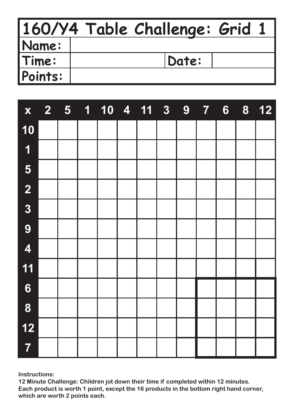|              | 160/Y4 Table Challenge: Grid 1 |  |
|--------------|--------------------------------|--|
| <b>Name:</b> |                                |  |
| Time:        | Date:                          |  |
| Points:      |                                |  |

| $\mathbf{X}$            |  |  | 2 5 1 10 4 11 3 9 7 |  |  | $6\phantom{1}$ | 8 | $12$ |
|-------------------------|--|--|---------------------|--|--|----------------|---|------|
| 10                      |  |  |                     |  |  |                |   |      |
| $\overline{\mathbf{1}}$ |  |  |                     |  |  |                |   |      |
| 5                       |  |  |                     |  |  |                |   |      |
| $\overline{\mathbf{2}}$ |  |  |                     |  |  |                |   |      |
| $\overline{\mathbf{3}}$ |  |  |                     |  |  |                |   |      |
| 9                       |  |  |                     |  |  |                |   |      |
| $\overline{\mathbf{4}}$ |  |  |                     |  |  |                |   |      |
| 11                      |  |  |                     |  |  |                |   |      |
| 6                       |  |  |                     |  |  |                |   |      |
| 8                       |  |  |                     |  |  |                |   |      |
| $12$                    |  |  |                     |  |  |                |   |      |
| $\overline{7}$          |  |  |                     |  |  |                |   |      |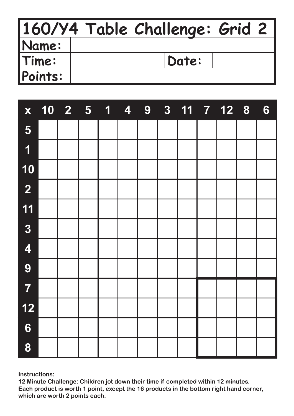|         | 160/Y4 Table Challenge: Grid 2 |
|---------|--------------------------------|
| Name:   |                                |
| Time:   | Date:                          |
| Points: |                                |

| X                       | 10 2 5 1 4 9 |  |  |  | 3 11 7 12 8 | $6\phantom{1}$ |
|-------------------------|--------------|--|--|--|-------------|----------------|
| 5                       |              |  |  |  |             |                |
| $\overline{\mathbf{1}}$ |              |  |  |  |             |                |
| 10                      |              |  |  |  |             |                |
| $\overline{2}$          |              |  |  |  |             |                |
| 11                      |              |  |  |  |             |                |
| $\overline{3}$          |              |  |  |  |             |                |
| $\overline{\mathbf{4}}$ |              |  |  |  |             |                |
| 9                       |              |  |  |  |             |                |
| $\overline{\mathbf{7}}$ |              |  |  |  |             |                |
| $12$                    |              |  |  |  |             |                |
| $6\phantom{1}$          |              |  |  |  |             |                |
| 8                       |              |  |  |  |             |                |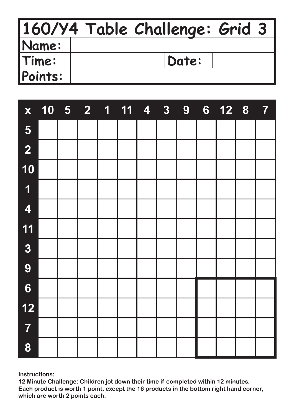|         | 160/Y4 Table Challenge: Grid 3 |  |
|---------|--------------------------------|--|
| Name:   |                                |  |
| Time:   | Date:                          |  |
| Points: |                                |  |

| $\mathbf{X}$            |  |  | 10 5 2 1 11 4 3 9 |  |  | 6 12 8 7 |  |
|-------------------------|--|--|-------------------|--|--|----------|--|
| 5                       |  |  |                   |  |  |          |  |
| $\overline{2}$          |  |  |                   |  |  |          |  |
| 10                      |  |  |                   |  |  |          |  |
| $\overline{\mathbf{1}}$ |  |  |                   |  |  |          |  |
| $\overline{\mathbf{4}}$ |  |  |                   |  |  |          |  |
| 11                      |  |  |                   |  |  |          |  |
| $\overline{\mathbf{3}}$ |  |  |                   |  |  |          |  |
| 9                       |  |  |                   |  |  |          |  |
| 6                       |  |  |                   |  |  |          |  |
| $12$                    |  |  |                   |  |  |          |  |
| $\overline{7}$          |  |  |                   |  |  |          |  |
| 8                       |  |  |                   |  |  |          |  |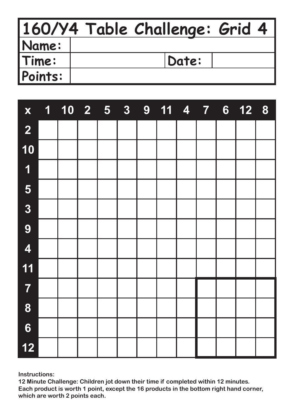|         | 160/Y4 Table Challenge: Grid 4 |  |
|---------|--------------------------------|--|
| Name:   |                                |  |
| Time:   | Date:                          |  |
| Points: |                                |  |

| $\mathbf{X}$            |  |  | 3 <sup>1</sup> | 9 11 4 7 |  | 6 <sup>1</sup> | 12 8 |  |
|-------------------------|--|--|----------------|----------|--|----------------|------|--|
| $\overline{2}$          |  |  |                |          |  |                |      |  |
| 10                      |  |  |                |          |  |                |      |  |
| $\overline{\mathbf{1}}$ |  |  |                |          |  |                |      |  |
| 5                       |  |  |                |          |  |                |      |  |
| $\overline{3}$          |  |  |                |          |  |                |      |  |
| 9                       |  |  |                |          |  |                |      |  |
| $\overline{\mathbf{4}}$ |  |  |                |          |  |                |      |  |
| 11                      |  |  |                |          |  |                |      |  |
| $\overline{7}$          |  |  |                |          |  |                |      |  |
| 8                       |  |  |                |          |  |                |      |  |
| $6\phantom{1}$          |  |  |                |          |  |                |      |  |
| 12                      |  |  |                |          |  |                |      |  |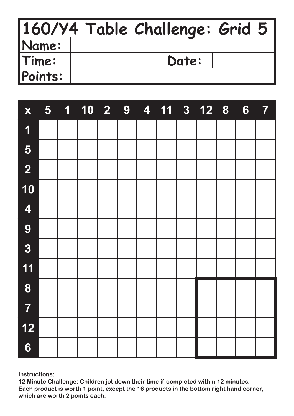|         | 160/Y4 Table Challenge: Grid 5 |  |
|---------|--------------------------------|--|
| Name:   |                                |  |
| Time:   | Date:                          |  |
| Points: |                                |  |

| X                       |  | 5 1 10 2 9 |  |  | 4 11 3 12 8 | 6 <sup>1</sup> | $\overline{7}$ |
|-------------------------|--|------------|--|--|-------------|----------------|----------------|
| $\overline{\mathbf{1}}$ |  |            |  |  |             |                |                |
| 5                       |  |            |  |  |             |                |                |
| $\overline{\mathbf{2}}$ |  |            |  |  |             |                |                |
| 10                      |  |            |  |  |             |                |                |
| $\overline{\mathbf{4}}$ |  |            |  |  |             |                |                |
| 9                       |  |            |  |  |             |                |                |
| $\overline{3}$          |  |            |  |  |             |                |                |
| 11                      |  |            |  |  |             |                |                |
| 8                       |  |            |  |  |             |                |                |
| $\overline{7}$          |  |            |  |  |             |                |                |
| 12                      |  |            |  |  |             |                |                |
| $6\phantom{1}$          |  |            |  |  |             |                |                |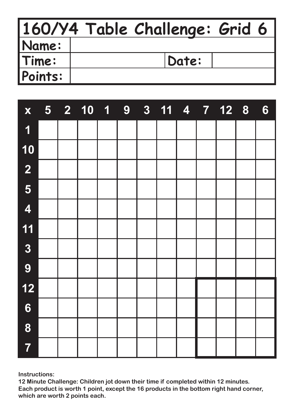|              | 160/Y4 Table Challenge: Grid 6 |
|--------------|--------------------------------|
| <b>Name:</b> |                                |
| Time:        | Date:                          |
| Points:      |                                |

| $\mathbf{X}$            |  | 5 2 10 1 9 |  |  |  | 3 11 4 7 12 8 | 6 |
|-------------------------|--|------------|--|--|--|---------------|---|
| 1                       |  |            |  |  |  |               |   |
| 10                      |  |            |  |  |  |               |   |
| $\overline{\mathbf{2}}$ |  |            |  |  |  |               |   |
| 5                       |  |            |  |  |  |               |   |
| $\overline{\mathbf{4}}$ |  |            |  |  |  |               |   |
| 11                      |  |            |  |  |  |               |   |
| $\overline{\mathbf{3}}$ |  |            |  |  |  |               |   |
| 9                       |  |            |  |  |  |               |   |
| $12$                    |  |            |  |  |  |               |   |
| 6                       |  |            |  |  |  |               |   |
| 8                       |  |            |  |  |  |               |   |
| $\overline{7}$          |  |            |  |  |  |               |   |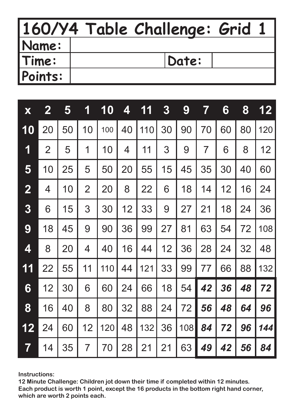|              | 160/Y4 Table Challenge: Grid 1 |
|--------------|--------------------------------|
| <b>Name:</b> |                                |
| Time:        | Date:                          |
| Points:      |                                |

| X                       | $\mathbf{2}$   | 5  | 1              | 10  | 4  | 1<br>1 | 3  | 9   | 7  | 6  | 8  | 12  |
|-------------------------|----------------|----|----------------|-----|----|--------|----|-----|----|----|----|-----|
| 10                      | 20             | 50 | 10             | 100 | 40 | 110    | 30 | 90  | 70 | 60 | 80 | 120 |
| 1                       | $\overline{2}$ | 5  | 1              | 10  | 4  | 11     | 3  | 9   | 7  | 6  | 8  | 12  |
| 5                       | 10             | 25 | 5              | 50  | 20 | 55     | 15 | 45  | 35 | 30 | 40 | 60  |
| $\overline{\mathbf{2}}$ | 4              | 10 | $\overline{2}$ | 20  | 8  | 22     | 6  | 18  | 14 | 12 | 16 | 24  |
| 3                       | 6              | 15 | 3              | 30  | 12 | 33     | 9  | 27  | 21 | 18 | 24 | 36  |
| 9                       | 18             | 45 | 9              | 90  | 36 | 99     | 27 | 81  | 63 | 54 | 72 | 108 |
| 4                       | 8              | 20 | 4              | 40  | 16 | 44     | 12 | 36  | 28 | 24 | 32 | 48  |
| 11                      | 22             | 55 | 11             | 110 | 44 | 121    | 33 | 99  | 77 | 66 | 88 | 132 |
| 6                       | 12             | 30 | 6              | 60  | 24 | 66     | 18 | 54  | 42 | 36 | 48 | 72  |
| 8                       | 16             | 40 | 8              | 80  | 32 | 88     | 24 | 72  | 56 | 48 | 64 | 96  |
| 12                      | 24             | 60 | 12             | 120 | 48 | 132    | 36 | 108 | 84 | 72 | 96 | 144 |
| $\overline{7}$          | 14             | 35 | $\overline{7}$ | 70  | 28 | 21     | 21 | 63  | 49 | 42 | 56 | 84  |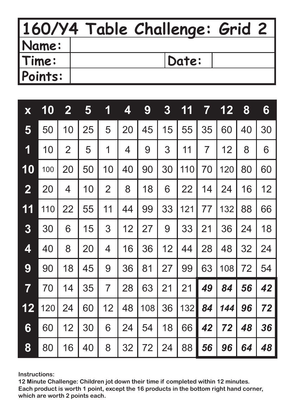|         | 160/Y4 Table Challenge: Grid 2 |
|---------|--------------------------------|
| Name:   |                                |
| Time:   | Date:                          |
| Points: |                                |

| X              | 10  | $\mathbf{2}$   | 5  | 1              | 4  | 9   | $\boldsymbol{3}$ | 11  | 7  | 12  | 8  | 6  |
|----------------|-----|----------------|----|----------------|----|-----|------------------|-----|----|-----|----|----|
| 5              | 50  | 10             | 25 | 5              | 20 | 45  | 15               | 55  | 35 | 60  | 40 | 30 |
| 1              | 10  | $\overline{2}$ | 5  | 1              | 4  | 9   | 3                | 11  | 7  | 12  | 8  | 6  |
| 10             | 100 | 20             | 50 | 10             | 40 | 90  | 30               | 110 | 70 | 120 | 80 | 60 |
| $\overline{2}$ | 20  | 4              | 10 | $\overline{2}$ | 8  | 18  | 6                | 22  | 14 | 24  | 16 | 12 |
| 11             | 110 | 22             | 55 | 11             | 44 | 99  | 33               | 121 | 77 | 132 | 88 | 66 |
| 3              | 30  | 6              | 15 | 3              | 12 | 27  | 9                | 33  | 21 | 36  | 24 | 18 |
| 4              | 40  | 8              | 20 | 4              | 16 | 36  | 12               | 44  | 28 | 48  | 32 | 24 |
| 9              | 90  | 18             | 45 | 9              | 36 | 81  | 27               | 99  | 63 | 108 | 72 | 54 |
| 7              | 70  | 14             | 35 | $\overline{7}$ | 28 | 63  | 21               | 21  | 49 | 84  | 56 | 42 |
| 12             | 120 | 24             | 60 | 12             | 48 | 108 | 36               | 132 | 84 | 144 | 96 | 72 |
| 6              | 60  | 12             | 30 | 6              | 24 | 54  | 18               | 66  | 42 | 72  | 48 | 36 |
| 8              | 80  | 16             | 40 | 8              | 32 | 72  | 24               | 88  | 56 | 96  | 64 | 48 |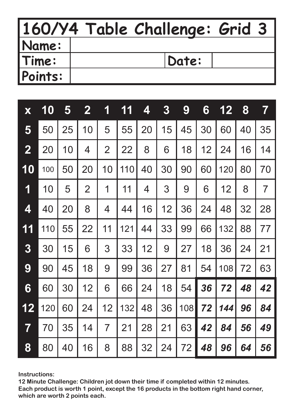|              | 160/Y4 Table Challenge: Grid 3 |
|--------------|--------------------------------|
| <b>Name:</b> |                                |
| Time:        | Date:                          |
| Points:      |                                |

| X                       | 10  | 5  | $\mathbf{2}$   | 1              | 11  | 4  | $\boldsymbol{3}$ | 9   | 6  | 12  | 8  | $\overline{\mathbf{7}}$ |
|-------------------------|-----|----|----------------|----------------|-----|----|------------------|-----|----|-----|----|-------------------------|
| 5                       | 50  | 25 | 10             | 5              | 55  | 20 | 15               | 45  | 30 | 60  | 40 | 35                      |
| $\overline{\mathbf{2}}$ | 20  | 10 | 4              | $\overline{2}$ | 22  | 8  | 6                | 18  | 12 | 24  | 16 | 14                      |
| 10                      | 100 | 50 | 20             | 10             | 110 | 40 | 30               | 90  | 60 | 120 | 80 | 70                      |
| 1                       | 10  | 5  | $\overline{2}$ | 1              | 11  | 4  | 3                | 9   | 6  | 12  | 8  | $\overline{7}$          |
| 4                       | 40  | 20 | 8              | 4              | 44  | 16 | 12               | 36  | 24 | 48  | 32 | 28                      |
| 11                      | 110 | 55 | 22             | 11             | 121 | 44 | 33               | 99  | 66 | 132 | 88 | 77                      |
| 3                       | 30  | 15 | 6              | 3              | 33  | 12 | 9                | 27  | 18 | 36  | 24 | 21                      |
| 9                       | 90  | 45 | 18             | 9              | 99  | 36 | 27               | 81  | 54 | 108 | 72 | 63                      |
| 6                       | 60  | 30 | 12             | 6              | 66  | 24 | 18               | 54  | 36 | 72  | 48 | 42                      |
| 12                      | 120 | 60 | 24             | 12             | 132 | 48 | 36               | 108 | 72 | 144 | 96 | 84                      |
| $\overline{\mathbf{7}}$ | 70  | 35 | 14             | $\overline{7}$ | 21  | 28 | 21               | 63  | 42 | 84  | 56 | 49                      |
| 8                       | 80  | 40 | 16             | 8              | 88  | 32 | 24               | 72  | 48 | 96  | 64 | 56                      |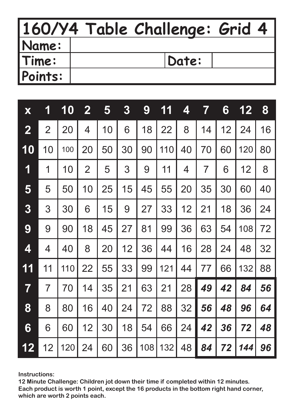|         | 160/Y4 Table Challenge: Grid 4 |
|---------|--------------------------------|
| Name:   |                                |
| Time:   | Date:                          |
| Points: |                                |

| X              | 1              | 10  | $\mathbf{2}$   | 5  | 3  | 9   | 11  | 4  | 7              | 6  | 12  | 8  |
|----------------|----------------|-----|----------------|----|----|-----|-----|----|----------------|----|-----|----|
| $\overline{2}$ | $\overline{2}$ | 20  | 4              | 10 | 6  | 18  | 22  | 8  | 14             | 12 | 24  | 16 |
| 10             | 10             | 100 | 20             | 50 | 30 | 90  | 110 | 40 | 70             | 60 | 120 | 80 |
| 1              | 1              | 10  | $\overline{2}$ | 5  | 3  | 9   | 11  | 4  | $\overline{7}$ | 6  | 12  | 8  |
| 5              | 5              | 50  | 10             | 25 | 15 | 45  | 55  | 20 | 35             | 30 | 60  | 40 |
| 3              | 3              | 30  | 6              | 15 | 9  | 27  | 33  | 12 | 21             | 18 | 36  | 24 |
| 9              | 9              | 90  | 18             | 45 | 27 | 81  | 99  | 36 | 63             | 54 | 108 | 72 |
| 4              | 4              | 40  | 8              | 20 | 12 | 36  | 44  | 16 | 28             | 24 | 48  | 32 |
| 11             | 11             | 110 | 22             | 55 | 33 | 99  | 121 | 44 | 77             | 66 | 132 | 88 |
| 7              | $\overline{7}$ | 70  | 14             | 35 | 21 | 63  | 21  | 28 | 49             | 42 | 84  | 56 |
| 8              | 8              | 80  | 16             | 40 | 24 | 72  | 88  | 32 | 56             | 48 | 96  | 64 |
| 6              | 6              | 60  | 12             | 30 | 18 | 54  | 66  | 24 | 42             | 36 | 72  | 48 |
| 12             | 12             | 120 | 24             | 60 | 36 | 108 | 132 | 48 | 84             | 72 | 144 | 96 |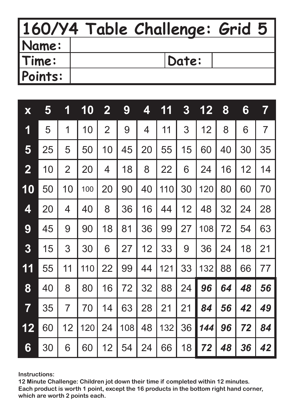|              | 160/Y4 Table Challenge: Grid 5 |
|--------------|--------------------------------|
| <b>Name:</b> |                                |
| Time:        | Date:                          |
| Points:      |                                |

| X                       | 5  | 1              | 10  | $\mathbf{2}$   | 9   | 4  | 11  | 3  | 12  | 8  | 6  | $\overline{\mathbf{7}}$ |
|-------------------------|----|----------------|-----|----------------|-----|----|-----|----|-----|----|----|-------------------------|
| 1                       | 5  | 1              | 10  | $\overline{2}$ | 9   | 4  | 11  | 3  | 12  | 8  | 6  | $\overline{7}$          |
| 5                       | 25 | 5              | 50  | 10             | 45  | 20 | 55  | 15 | 60  | 40 | 30 | 35                      |
| $\overline{\mathbf{2}}$ | 10 | $\overline{2}$ | 20  | 4              | 18  | 8  | 22  | 6  | 24  | 16 | 12 | 14                      |
| 10                      | 50 | 10             | 100 | 20             | 90  | 40 | 110 | 30 | 120 | 80 | 60 | 70                      |
| 4                       | 20 | 4              | 40  | 8              | 36  | 16 | 44  | 12 | 48  | 32 | 24 | 28                      |
| 9                       | 45 | 9              | 90  | 18             | 81  | 36 | 99  | 27 | 108 | 72 | 54 | 63                      |
| 3                       | 15 | 3              | 30  | 6              | 27  | 12 | 33  | 9  | 36  | 24 | 18 | 21                      |
| 11                      | 55 | 11             | 110 | 22             | 99  | 44 | 121 | 33 | 132 | 88 | 66 | 77                      |
| 8                       | 40 | 8              | 80  | 16             | 72  | 32 | 88  | 24 | 96  | 64 | 48 | 56                      |
| $\overline{\mathbf{7}}$ | 35 | $\overline{7}$ | 70  | 14             | 63  | 28 | 21  | 21 | 84  | 56 | 42 | 49                      |
| 12                      | 60 | 12             | 120 | 24             | 108 | 48 | 132 | 36 | 144 | 96 | 72 | 84                      |
| 6                       | 30 | 6              | 60  | 12             | 54  | 24 | 66  | 18 | 72  | 48 | 36 | 42                      |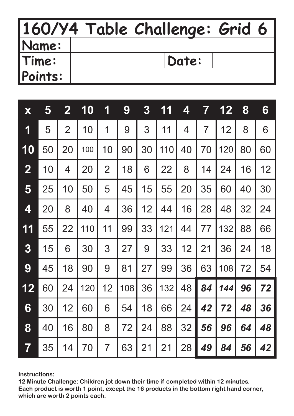|         | 160/Y4 Table Challenge: Grid 6 |
|---------|--------------------------------|
| Name:   |                                |
| Time:   | Date:                          |
| Points: |                                |

| X                       | 5  | $\mathbf 2$    | 10  | 1              | 9   | $\boldsymbol{3}$ | 11  | 4  | 7  | 12  | 8  | 6  |
|-------------------------|----|----------------|-----|----------------|-----|------------------|-----|----|----|-----|----|----|
| 1                       | 5  | $\overline{2}$ | 10  | 1              | 9   | 3                | 11  | 4  | 7  | 12  | 8  | 6  |
| 10                      | 50 | 20             | 100 | 10             | 90  | 30               | 110 | 40 | 70 | 120 | 80 | 60 |
| $\overline{\mathbf{2}}$ | 10 | 4              | 20  | $\overline{2}$ | 18  | 6                | 22  | 8  | 14 | 24  | 16 | 12 |
| 5                       | 25 | 10             | 50  | 5              | 45  | 15               | 55  | 20 | 35 | 60  | 40 | 30 |
| 4                       | 20 | 8              | 40  | 4              | 36  | 12               | 44  | 16 | 28 | 48  | 32 | 24 |
| 11                      | 55 | 22             | 110 | 11             | 99  | 33               | 121 | 44 | 77 | 132 | 88 | 66 |
| 3                       | 15 | 6              | 30  | 3              | 27  | 9                | 33  | 12 | 21 | 36  | 24 | 18 |
| 9                       | 45 | 18             | 90  | 9              | 81  | 27               | 99  | 36 | 63 | 108 | 72 | 54 |
| 12                      | 60 | 24             | 120 | 12             | 108 | 36               | 132 | 48 | 84 | 144 | 96 | 72 |
| 6                       | 30 | 12             | 60  | 6              | 54  | 18               | 66  | 24 | 42 | 72  | 48 | 36 |
| 8                       | 40 | 16             | 80  | 8              | 72  | 24               | 88  | 32 | 56 | 96  | 64 | 48 |
| 7                       | 35 | 14             | 70  | $\overline{7}$ | 63  | 21               | 21  | 28 | 49 | 84  | 56 | 42 |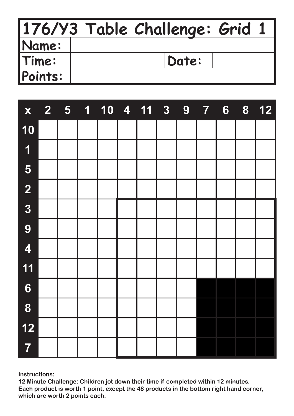|         | 176/Y3 Table Challenge: Grid 1 |  |
|---------|--------------------------------|--|
| Name:   |                                |  |
| Time:   | Date:                          |  |
| Points: |                                |  |

| $\mathbf{X}$            |  | 2 5 1 10 4 11 3 9 |  |  | $\overline{7}$ | $6\phantom{1}$ | 8 | $12$ |
|-------------------------|--|-------------------|--|--|----------------|----------------|---|------|
| 10                      |  |                   |  |  |                |                |   |      |
| $\overline{\mathbf{1}}$ |  |                   |  |  |                |                |   |      |
| 5                       |  |                   |  |  |                |                |   |      |
| $\overline{\mathbf{2}}$ |  |                   |  |  |                |                |   |      |
| $\overline{3}$          |  |                   |  |  |                |                |   |      |
| 9                       |  |                   |  |  |                |                |   |      |
| $\overline{\mathbf{4}}$ |  |                   |  |  |                |                |   |      |
| 11                      |  |                   |  |  |                |                |   |      |
| $\boldsymbol{6}$        |  |                   |  |  |                |                |   |      |
| 8                       |  |                   |  |  |                |                |   |      |
| $12$                    |  |                   |  |  |                |                |   |      |
| $\overline{7}$          |  |                   |  |  |                |                |   |      |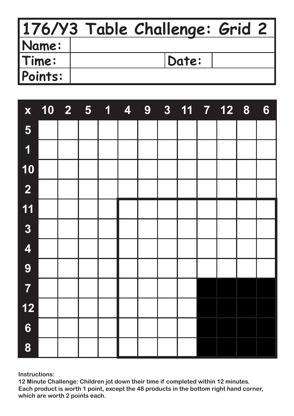|         | 176/Y3 Table Challenge: Grid 2 |  |
|---------|--------------------------------|--|
| Name:   |                                |  |
| Time:   | Date:                          |  |
| Points: |                                |  |

| $\mathbf{X}$            | $10 \quad 2 \quad 5$ |  | $\mathbf{1}$ | $\overline{4}$ | 9 |  | 3 11 7 12 8 | $6\phantom{1}6$ |
|-------------------------|----------------------|--|--------------|----------------|---|--|-------------|-----------------|
| 5                       |                      |  |              |                |   |  |             |                 |
| 1                       |                      |  |              |                |   |  |             |                 |
| 10                      |                      |  |              |                |   |  |             |                 |
| $\overline{\mathbf{2}}$ |                      |  |              |                |   |  |             |                 |
| 11                      |                      |  |              |                |   |  |             |                 |
| $\overline{3}$          |                      |  |              |                |   |  |             |                 |
| $\overline{\mathbf{4}}$ |                      |  |              |                |   |  |             |                 |
| 9                       |                      |  |              |                |   |  |             |                 |
| $\overline{7}$          |                      |  |              |                |   |  |             |                 |
| $12$                    |                      |  |              |                |   |  |             |                 |
| $\boldsymbol{6}$        |                      |  |              |                |   |  |             |                 |
| 8                       |                      |  |              |                |   |  |             |                 |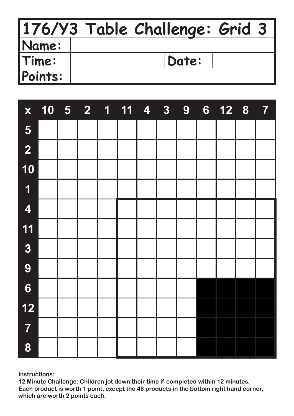|              | 176/Y3 Table Challenge: Grid 3 |  |
|--------------|--------------------------------|--|
| <b>Name:</b> |                                |  |
| Time:        | Date:                          |  |
| Points:      |                                |  |

| X                       |  |  | 10 5 2 1 11 4 3 9 |  | 6 <sup>1</sup> | 12 8 7 |  |
|-------------------------|--|--|-------------------|--|----------------|--------|--|
| 5                       |  |  |                   |  |                |        |  |
| $\overline{\mathbf{2}}$ |  |  |                   |  |                |        |  |
| 10                      |  |  |                   |  |                |        |  |
| $\overline{\mathbf{1}}$ |  |  |                   |  |                |        |  |
| 4                       |  |  |                   |  |                |        |  |
| 11                      |  |  |                   |  |                |        |  |
| $\overline{3}$          |  |  |                   |  |                |        |  |
| 9                       |  |  |                   |  |                |        |  |
| $\boldsymbol{6}$        |  |  |                   |  |                |        |  |
| $12$                    |  |  |                   |  |                |        |  |
| $\overline{7}$          |  |  |                   |  |                |        |  |
| 8                       |  |  |                   |  |                |        |  |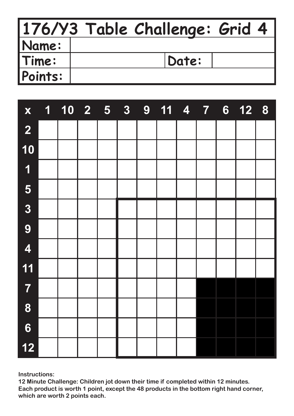|              | 176/Y3 Table Challenge: Grid 4 |  |
|--------------|--------------------------------|--|
| <b>Name:</b> |                                |  |
| Time:        | Date:                          |  |
| Points:      |                                |  |

| X                       | $\mathbf{1}$ | $10 \quad 2 \quad 5$ |  | 3 <sup>1</sup> | 9 11 4 7 |  | 6 <sup>1</sup> | 12 8 |  |
|-------------------------|--------------|----------------------|--|----------------|----------|--|----------------|------|--|
| $\overline{\mathbf{2}}$ |              |                      |  |                |          |  |                |      |  |
| 10                      |              |                      |  |                |          |  |                |      |  |
| $\overline{\mathbf{1}}$ |              |                      |  |                |          |  |                |      |  |
| 5                       |              |                      |  |                |          |  |                |      |  |
| $\overline{3}$          |              |                      |  |                |          |  |                |      |  |
| 9                       |              |                      |  |                |          |  |                |      |  |
| $\overline{\mathbf{4}}$ |              |                      |  |                |          |  |                |      |  |
| 11                      |              |                      |  |                |          |  |                |      |  |
| $\overline{7}$          |              |                      |  |                |          |  |                |      |  |
| 8                       |              |                      |  |                |          |  |                |      |  |
| $6\phantom{1}$          |              |                      |  |                |          |  |                |      |  |
| $12$                    |              |                      |  |                |          |  |                |      |  |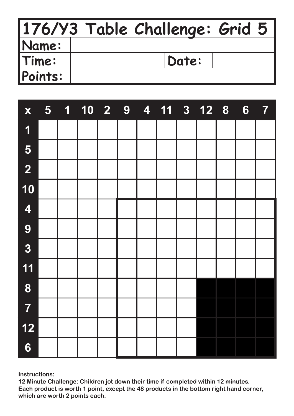|         | 176/Y3 Table Challenge: Grid 5 |       |  |
|---------|--------------------------------|-------|--|
| Name:   |                                |       |  |
| Time:   |                                | Date: |  |
| Points: |                                |       |  |

| X                       |  | 5 1 10 2 9 |  |  | 4 11 3 12 8 | $6\phantom{1}$ | $\overline{7}$ |
|-------------------------|--|------------|--|--|-------------|----------------|----------------|
| $\overline{\mathbf{1}}$ |  |            |  |  |             |                |                |
| 5                       |  |            |  |  |             |                |                |
| $\overline{2}$          |  |            |  |  |             |                |                |
| 10                      |  |            |  |  |             |                |                |
| 4                       |  |            |  |  |             |                |                |
| 9                       |  |            |  |  |             |                |                |
| $\overline{3}$          |  |            |  |  |             |                |                |
| 11                      |  |            |  |  |             |                |                |
| 8                       |  |            |  |  |             |                |                |
| 7                       |  |            |  |  |             |                |                |
| 12                      |  |            |  |  |             |                |                |
| $6\phantom{1}$          |  |            |  |  |             |                |                |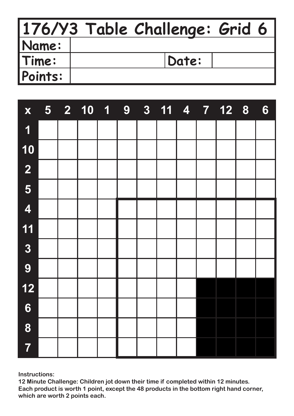|              | 176/Y3 Table Challenge: Grid 6 |  |
|--------------|--------------------------------|--|
| <b>Name:</b> |                                |  |
| Time:        | Date:                          |  |
| Points:      |                                |  |

| X                       |  | 5 2 10 1 9 |  | 3 11 4 7 12 8 |  |  | $6\phantom{1}$ |
|-------------------------|--|------------|--|---------------|--|--|----------------|
| $\overline{\mathbf{1}}$ |  |            |  |               |  |  |                |
| 10                      |  |            |  |               |  |  |                |
| $\overline{\mathbf{2}}$ |  |            |  |               |  |  |                |
| 5                       |  |            |  |               |  |  |                |
| 4                       |  |            |  |               |  |  |                |
| 11                      |  |            |  |               |  |  |                |
| $\overline{\mathbf{3}}$ |  |            |  |               |  |  |                |
| 9                       |  |            |  |               |  |  |                |
| $12$                    |  |            |  |               |  |  |                |
| $6\phantom{1}$          |  |            |  |               |  |  |                |
| 8                       |  |            |  |               |  |  |                |
| $\overline{7}$          |  |            |  |               |  |  |                |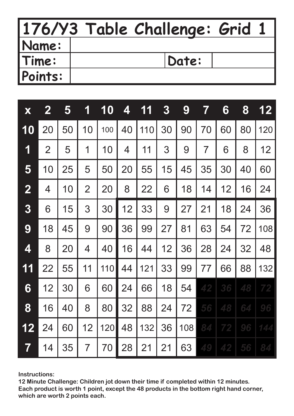|         | 176/Y3 Table Challenge: Grid 1 |
|---------|--------------------------------|
| Name:   |                                |
| Time:   | Date:                          |
| Points: |                                |

| X              | $\mathbf{2}$   | 5  | 1              | 10  | 4  | 1<br>1 | 3  | 9   | 7  | 6  | 8  | 12  |
|----------------|----------------|----|----------------|-----|----|--------|----|-----|----|----|----|-----|
| 10             | 20             | 50 | 10             | 100 | 40 | 110    | 30 | 90  | 70 | 60 | 80 | 120 |
| 1              | $\overline{2}$ | 5  | 1              | 10  | 4  | 11     | 3  | 9   | 7  | 6  | 8  | 12  |
| 5              | 10             | 25 | 5              | 50  | 20 | 55     | 15 | 45  | 35 | 30 | 40 | 60  |
| $\overline{2}$ | 4              | 10 | $\overline{2}$ | 20  | 8  | 22     | 6  | 18  | 14 | 12 | 16 | 24  |
| 3              | 6              | 15 | 3              | 30  | 12 | 33     | 9  | 27  | 21 | 18 | 24 | 36  |
| 9              | 18             | 45 | 9              | 90  | 36 | 99     | 27 | 81  | 63 | 54 | 72 | 108 |
| 4              | 8              | 20 | 4              | 40  | 16 | 44     | 12 | 36  | 28 | 24 | 32 | 48  |
| 11             | 22             | 55 | 11             | 110 | 44 | 121    | 33 | 99  | 77 | 66 | 88 | 132 |
| 6              | 12             | 30 | 6              | 60  | 24 | 66     | 18 | 54  | 42 | 36 | 48 | 72  |
| 8              | 16             | 40 | 8              | 80  | 32 | 88     | 24 | 72  | 56 | 48 | 64 | 96  |
| 12             | 24             | 60 | 12             | 120 | 48 | 132    | 36 | 108 | 84 | 72 | 96 | 144 |
| 7              | 14             | 35 | $\overline{7}$ | 70  | 28 | 21     | 21 | 63  | 49 | 42 | 56 | 84  |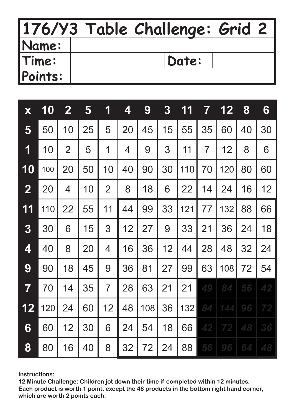|              | 176/Y3 Table Challenge: Grid 2 |  |
|--------------|--------------------------------|--|
| <b>Name:</b> |                                |  |
| Time:        | Date:                          |  |
| Points:      |                                |  |

| X                       | 10  | $\mathbf{2}$   | 5  | 1              | 4  | 9   | $\boldsymbol{3}$ | 11  | 7              | $\mathbf{2}$<br>1 | 8  | 6  |
|-------------------------|-----|----------------|----|----------------|----|-----|------------------|-----|----------------|-------------------|----|----|
| 5                       | 50  | 10             | 25 | 5              | 20 | 45  | 15               | 55  | 35             | 60                | 40 | 30 |
| 1                       | 10  | $\overline{2}$ | 5  | 1              | 4  | 9   | 3                | 11  | $\overline{7}$ | 12                | 8  | 6  |
| 10                      | 100 | 20             | 50 | 10             | 40 | 90  | 30               | 110 | 70             | 120               | 80 | 60 |
| $\overline{2}$          | 20  | 4              | 10 | $\overline{2}$ | 8  | 18  | 6                | 22  | 14             | 24                | 16 | 12 |
| 11                      | 110 | 22             | 55 | 11             | 44 | 99  | 33               | 121 | 77             | 132               | 88 | 66 |
| 3                       | 30  | 6              | 15 | 3              | 12 | 27  | 9                | 33  | 21             | 36                | 24 | 18 |
| 4                       | 40  | 8              | 20 | 4              | 16 | 36  | 12               | 44  | 28             | 48                | 32 | 24 |
| 9                       | 90  | 18             | 45 | 9              | 36 | 81  | 27               | 99  | 63             | 108               | 72 | 54 |
| $\overline{\mathbf{7}}$ | 70  | 14             | 35 | $\overline{7}$ | 28 | 63  | 21               | 21  | 49             | 84                | 56 | 42 |
| 12                      | 120 | 24             | 60 | 12             | 48 | 108 | 36               | 132 | 84             | 144               | 96 | 72 |
| 6                       | 60  | 12             | 30 | 6              | 24 | 54  | 18               | 66  | 42             | 72                | 48 | 36 |
| 8                       | 80  | 16             | 40 | 8              | 32 | 72  | 24               | 88  | 56             | 96                | 64 | 48 |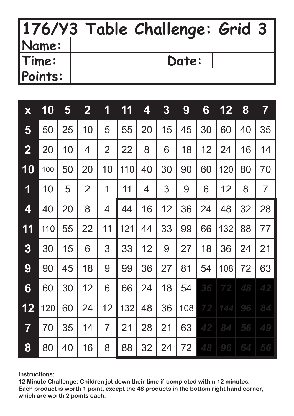|              | 176/Y3 Table Challenge: Grid 3 |
|--------------|--------------------------------|
| <b>Name:</b> |                                |
| Time:        | Date:                          |
| Points:      |                                |

| X                       | 10  | 5  | $\mathbf 2$    | 1              | 11  | 4  | 3  | 9   | 6  | 12  | 8  | 7              |
|-------------------------|-----|----|----------------|----------------|-----|----|----|-----|----|-----|----|----------------|
| 5                       | 50  | 25 | 10             | 5              | 55  | 20 | 15 | 45  | 30 | 60  | 40 | 35             |
| $\overline{\mathbf{2}}$ | 20  | 10 | 4              | $\overline{2}$ | 22  | 8  | 6  | 18  | 12 | 24  | 16 | 14             |
| 10                      | 100 | 50 | 20             | 10             | 110 | 40 | 30 | 90  | 60 | 120 | 80 | 70             |
| 1                       | 10  | 5  | $\overline{2}$ | 1              | 11  | 4  | 3  | 9   | 6  | 12  | 8  | $\overline{7}$ |
| 4                       | 40  | 20 | 8              | 4              | 44  | 16 | 12 | 36  | 24 | 48  | 32 | 28             |
| 11                      | 110 | 55 | 22             | 11             | 121 | 44 | 33 | 99  | 66 | 132 | 88 | 77             |
| 3                       | 30  | 15 | 6              | 3              | 33  | 12 | 9  | 27  | 18 | 36  | 24 | 21             |
| 9                       | 90  | 45 | 18             | 9              | 99  | 36 | 27 | 81  | 54 | 108 | 72 | 63             |
| 6                       | 60  | 30 | 12             | 6              | 66  | 24 | 18 | 54  | 36 | 72  | 48 | 42             |
| 12                      | 120 | 60 | 24             | 12             | 132 | 48 | 36 | 108 | 72 | 144 | 96 | 84             |
| 7                       | 70  | 35 | 14             | $\overline{7}$ | 21  | 28 | 21 | 63  | 42 | 84  | 56 | 49             |
| 8                       | 80  | 40 | 16             | 8              | 88  | 32 | 24 | 72  | 48 | 96  | 64 | 56             |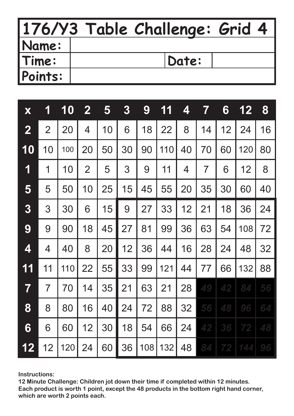|         | 176/Y3 Table Challenge: Grid 4 |
|---------|--------------------------------|
| Name:   |                                |
| Time:   | Date:                          |
| Points: |                                |

| X              | 1              | 10  | $\mathbf{2}$   | 5  | $\boldsymbol{3}$ | 9   | 11  | 4  | 7              | 6  | 12  | 8  |
|----------------|----------------|-----|----------------|----|------------------|-----|-----|----|----------------|----|-----|----|
| $\overline{2}$ | $\overline{2}$ | 20  | 4              | 10 | 6                | 18  | 22  | 8  | 14             | 12 | 24  | 16 |
| 10             | 10             | 100 | 20             | 50 | 30               | 90  | 110 | 40 | 70             | 60 | 120 | 80 |
| 1              | 1              | 10  | $\overline{2}$ | 5  | 3                | 9   | 11  | 4  | $\overline{7}$ | 6  | 12  | 8  |
| 5              | 5              | 50  | 10             | 25 | 15               | 45  | 55  | 20 | 35             | 30 | 60  | 40 |
| 3              | 3              | 30  | 6              | 15 | 9                | 27  | 33  | 12 | 21             | 18 | 36  | 24 |
| 9              | 9              | 90  | 18             | 45 | 27               | 81  | 99  | 36 | 63             | 54 | 108 | 72 |
| 4              | 4              | 40  | 8              | 20 | 12               | 36  | 44  | 16 | 28             | 24 | 48  | 32 |
| 11             | 11             | 110 | 22             | 55 | 33               | 99  | 121 | 44 | 77             | 66 | 132 | 88 |
| 7              | $\overline{7}$ | 70  | 14             | 35 | 21               | 63  | 21  | 28 | 49             | 42 | 84  | 56 |
| 8              | 8              | 80  | 16             | 40 | 24               | 72  | 88  | 32 | 56             | 48 | 96  | 64 |
| 6              | 6              | 60  | 12             | 30 | 18               | 54  | 66  | 24 | 42             | 36 | 72  | 48 |
| 12             | 12             | 120 | 24             | 60 | 36               | 108 | 132 | 48 | 84             | 72 | 144 | 96 |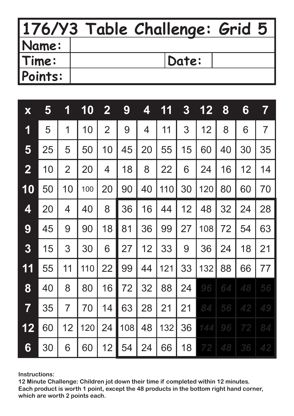|         | 176/Y3 Table Challenge: Grid 5 |  |
|---------|--------------------------------|--|
| Name:   |                                |  |
| Time:   | Date:                          |  |
| Points: |                                |  |

| X                       | 5  | 1              | 10  | $\mathbf{2}$   | 9   | 4  | 11  | $\boldsymbol{3}$ | 12  | 8  | 6  | $\overline{\mathbf{7}}$ |
|-------------------------|----|----------------|-----|----------------|-----|----|-----|------------------|-----|----|----|-------------------------|
| 1                       | 5  | 1              | 10  | $\overline{2}$ | 9   | 4  | 11  | 3                | 12  | 8  | 6  | $\overline{7}$          |
| 5                       | 25 | 5              | 50  | 10             | 45  | 20 | 55  | 15               | 60  | 40 | 30 | 35                      |
| $\overline{2}$          | 10 | $\overline{2}$ | 20  | 4              | 18  | 8  | 22  | 6                | 24  | 16 | 12 | 14                      |
| 10                      | 50 | 10             | 100 | 20             | 90  | 40 | 110 | 30               | 120 | 80 | 60 | 70                      |
| 4                       | 20 | 4              | 40  | 8              | 36  | 16 | 44  | 12               | 48  | 32 | 24 | 28                      |
| 9                       | 45 | 9              | 90  | 18             | 81  | 36 | 99  | 27               | 108 | 72 | 54 | 63                      |
| 3                       | 15 | 3              | 30  | 6              | 27  | 12 | 33  | 9                | 36  | 24 | 18 | 21                      |
| 11                      | 55 | 11             | 110 | 22             | 99  | 44 | 121 | 33               | 132 | 88 | 66 | 77                      |
| 8                       | 40 | 8              | 80  | 16             | 72  | 32 | 88  | 24               | 96  | 64 | 48 | 56                      |
| $\overline{\mathbf{7}}$ | 35 | $\overline{7}$ | 70  | 14             | 63  | 28 | 21  | 21               | 84  | 56 | 42 | 49                      |
| 12                      | 60 | 12             | 120 | 24             | 108 | 48 | 132 | 36               | 144 | 96 | 72 | 84                      |
| 6                       | 30 | 6              | 60  | 12             | 54  | 24 | 66  | 18               | 72  | 48 | 36 | 42                      |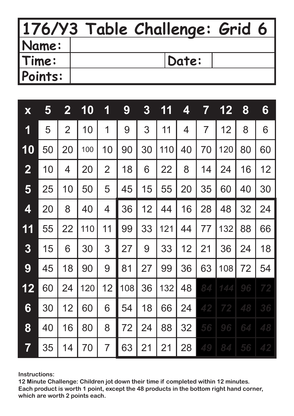|         | 176/Y3 Table Challenge: Grid 6 |
|---------|--------------------------------|
| Name:   |                                |
| Time:   | Date:                          |
| Points: |                                |

| X              | 5  | $\mathbf{2}$   | 10  | 1              | 9   | 3  | 11  | 4  | 7  | 12  | 8  | 6  |
|----------------|----|----------------|-----|----------------|-----|----|-----|----|----|-----|----|----|
| 1              | 5  | $\overline{2}$ | 10  | 1              | 9   | 3  | 11  | 4  | 7  | 12  | 8  | 6  |
| 10             | 50 | 20             | 100 | 10             | 90  | 30 | 110 | 40 | 70 | 120 | 80 | 60 |
| $\overline{2}$ | 10 | 4              | 20  | $\overline{2}$ | 18  | 6  | 22  | 8  | 14 | 24  | 16 | 12 |
| 5              | 25 | 10             | 50  | 5              | 45  | 15 | 55  | 20 | 35 | 60  | 40 | 30 |
| 4              | 20 | 8              | 40  | 4              | 36  | 12 | 44  | 16 | 28 | 48  | 32 | 24 |
| 11             | 55 | 22             | 110 | 11             | 99  | 33 | 121 | 44 | 77 | 132 | 88 | 66 |
| 3              | 15 | 6              | 30  | 3              | 27  | 9  | 33  | 12 | 21 | 36  | 24 | 18 |
| 9              | 45 | 18             | 90  | 9              | 81  | 27 | 99  | 36 | 63 | 108 | 72 | 54 |
| 12             | 60 | 24             | 120 | 12             | 108 | 36 | 132 | 48 | 84 | 144 | 96 | 72 |
| 6              | 30 | 12             | 60  | 6              | 54  | 18 | 66  | 24 | 42 | 72  | 48 | 36 |
| 8              | 40 | 16             | 80  | 8              | 72  | 24 | 88  | 32 | 56 | 96  | 64 | 48 |
| 7              | 35 | 14             | 70  | $\overline{7}$ | 63  | 21 | 21  | 28 | 49 | 84  | 56 | 42 |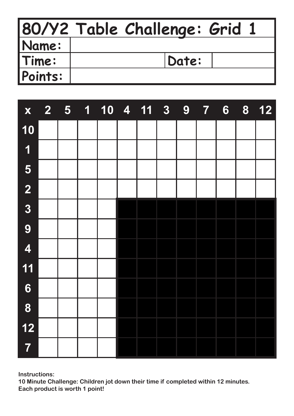|              | 80/Y2 Table Challenge: Grid 1 |
|--------------|-------------------------------|
| <b>Name:</b> |                               |
| Time:        | Date:                         |
| Points:      |                               |

| X                       | $2 \quad 5$ | $\overline{\mathbf{1}}$ |  | 10 4 11 | 3 | 9 | <b>Q</b> | 6 | 8 | $12$ |
|-------------------------|-------------|-------------------------|--|---------|---|---|----------|---|---|------|
| 10                      |             |                         |  |         |   |   |          |   |   |      |
| $\overline{\mathbf{1}}$ |             |                         |  |         |   |   |          |   |   |      |
| 5                       |             |                         |  |         |   |   |          |   |   |      |
| $\overline{\mathbf{2}}$ |             |                         |  |         |   |   |          |   |   |      |
| $\overline{3}$          |             |                         |  |         |   |   |          |   |   |      |
| 9                       |             |                         |  |         |   |   |          |   |   |      |
| $\overline{\mathbf{4}}$ |             |                         |  |         |   |   |          |   |   |      |
| 11                      |             |                         |  |         |   |   |          |   |   |      |
| $6\phantom{1}6$         |             |                         |  |         |   |   |          |   |   |      |
| 8                       |             |                         |  |         |   |   |          |   |   |      |
| $12$                    |             |                         |  |         |   |   |          |   |   |      |
| $\overline{7}$          |             |                         |  |         |   |   |          |   |   |      |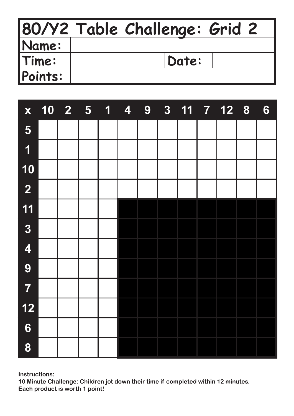|         | 80/Y2 Table Challenge: Grid 2 |
|---------|-------------------------------|
| Name:   |                               |
| Time:   | Date:                         |
| Points: |                               |

| X                       | $\begin{array}{ c c c }\hline \textbf{10} & \textbf{2} & \textbf{5} \\ \hline \end{array}$ | $\overline{\mathbf{1}}$ | $\overline{\mathbf{4}}$ | 9 |  | $3 \overline{11}$ $\overline{7}$ $\overline{12}$ $\overline{8}$ | $6\phantom{1}$ |
|-------------------------|--------------------------------------------------------------------------------------------|-------------------------|-------------------------|---|--|-----------------------------------------------------------------|----------------|
| 5                       |                                                                                            |                         |                         |   |  |                                                                 |                |
| $\overline{\mathbf{1}}$ |                                                                                            |                         |                         |   |  |                                                                 |                |
| 10                      |                                                                                            |                         |                         |   |  |                                                                 |                |
| $\overline{2}$          |                                                                                            |                         |                         |   |  |                                                                 |                |
| 11                      |                                                                                            |                         |                         |   |  |                                                                 |                |
| $\overline{\mathbf{3}}$ |                                                                                            |                         |                         |   |  |                                                                 |                |
| $\overline{\mathbf{4}}$ |                                                                                            |                         |                         |   |  |                                                                 |                |
| 9                       |                                                                                            |                         |                         |   |  |                                                                 |                |
| $\overline{7}$          |                                                                                            |                         |                         |   |  |                                                                 |                |
| $12$                    |                                                                                            |                         |                         |   |  |                                                                 |                |
| $\boldsymbol{6}$        |                                                                                            |                         |                         |   |  |                                                                 |                |
| 8                       |                                                                                            |                         |                         |   |  |                                                                 |                |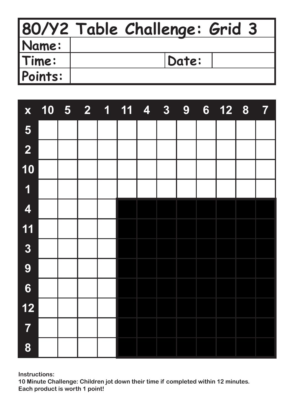|              | 80/Y2 Table Challenge: Grid 3 |
|--------------|-------------------------------|
| <b>Name:</b> |                               |
| Time:        | Date:                         |
| Points:      |                               |

| X                       |  | $\begin{array}{ c c c c c }\n\hline\n10 & 5 & 2 & 1\n\end{array}$ | $\overline{11}$ | $\overline{\mathbf{4}}$ | 8 | 9 | 6 <sup>1</sup> | 12 8 | <b>R</b> |
|-------------------------|--|-------------------------------------------------------------------|-----------------|-------------------------|---|---|----------------|------|----------|
| 5                       |  |                                                                   |                 |                         |   |   |                |      |          |
| $\overline{2}$          |  |                                                                   |                 |                         |   |   |                |      |          |
| 10                      |  |                                                                   |                 |                         |   |   |                |      |          |
| $\overline{\mathbf{1}}$ |  |                                                                   |                 |                         |   |   |                |      |          |
| $\overline{\mathbf{4}}$ |  |                                                                   |                 |                         |   |   |                |      |          |
| 11                      |  |                                                                   |                 |                         |   |   |                |      |          |
| $\overline{3}$          |  |                                                                   |                 |                         |   |   |                |      |          |
| 9                       |  |                                                                   |                 |                         |   |   |                |      |          |
| $\boldsymbol{6}$        |  |                                                                   |                 |                         |   |   |                |      |          |
| $12$                    |  |                                                                   |                 |                         |   |   |                |      |          |
| $\overline{7}$          |  |                                                                   |                 |                         |   |   |                |      |          |
| 8                       |  |                                                                   |                 |                         |   |   |                |      |          |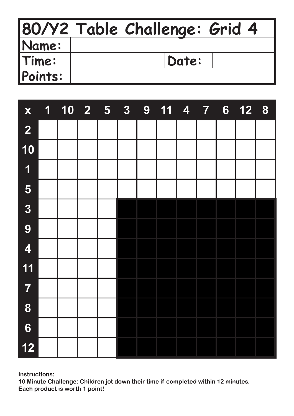|              | 80/Y2 Table Challenge: Grid 4 |
|--------------|-------------------------------|
| <b>Name:</b> |                               |
| Time:        | Date:                         |
| Points:      |                               |

| X                       | 1<br><b>Service Service</b> | $\begin{array}{ c c c }\n\hline\n10 & 2 & 5 \\ \hline\n\end{array}$ | 3 <sup>1</sup> | 9 | $11 \quad 4$ | $\overline{7}$ | $6\phantom{1}$ | 12 8 |  |
|-------------------------|-----------------------------|---------------------------------------------------------------------|----------------|---|--------------|----------------|----------------|------|--|
| $\overline{2}$          |                             |                                                                     |                |   |              |                |                |      |  |
| 10                      |                             |                                                                     |                |   |              |                |                |      |  |
| $\overline{\mathbf{1}}$ |                             |                                                                     |                |   |              |                |                |      |  |
| 5                       |                             |                                                                     |                |   |              |                |                |      |  |
| $\overline{\mathbf{3}}$ |                             |                                                                     |                |   |              |                |                |      |  |
| 9                       |                             |                                                                     |                |   |              |                |                |      |  |
| $\overline{\mathbf{4}}$ |                             |                                                                     |                |   |              |                |                |      |  |
| 11                      |                             |                                                                     |                |   |              |                |                |      |  |
| $\overline{7}$          |                             |                                                                     |                |   |              |                |                |      |  |
| 8                       |                             |                                                                     |                |   |              |                |                |      |  |
| $\boldsymbol{6}$        |                             |                                                                     |                |   |              |                |                |      |  |
| $12$                    |                             |                                                                     |                |   |              |                |                |      |  |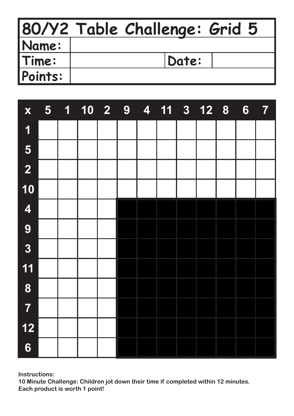|              | 80/Y2 Table Challenge: Grid 5 |
|--------------|-------------------------------|
| <b>Name:</b> |                               |
| Time:        | Date:                         |
| Points:      |                               |

| X                       | 5 <sub>1</sub> | $\overline{\mathbf{1}}$<br><b>Service Service</b> | 10 2 9 |  | 4 11 3 12 8 |  | 6 | $\overline{7}$ |
|-------------------------|----------------|---------------------------------------------------|--------|--|-------------|--|---|----------------|
| $\overline{\mathbf{1}}$ |                |                                                   |        |  |             |  |   |                |
| 5                       |                |                                                   |        |  |             |  |   |                |
| $\overline{2}$          |                |                                                   |        |  |             |  |   |                |
| 10                      |                |                                                   |        |  |             |  |   |                |
| $\overline{\mathbf{4}}$ |                |                                                   |        |  |             |  |   |                |
| 9                       |                |                                                   |        |  |             |  |   |                |
| $\overline{\mathbf{3}}$ |                |                                                   |        |  |             |  |   |                |
| 11                      |                |                                                   |        |  |             |  |   |                |
| 8                       |                |                                                   |        |  |             |  |   |                |
| 7                       |                |                                                   |        |  |             |  |   |                |
| $12$                    |                |                                                   |        |  |             |  |   |                |
| $6\phantom{1}6$         |                |                                                   |        |  |             |  |   |                |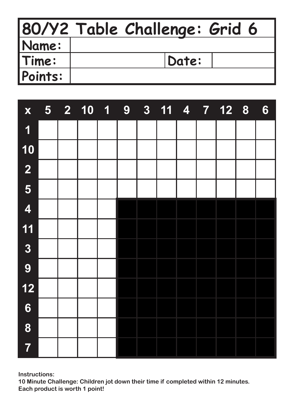|         | 80/Y2 Table Challenge: Grid 6 |
|---------|-------------------------------|
| Name:   |                               |
| Time:   | Date:                         |
| Points: |                               |

| $\mathbf{X}$            | 5 <sub>1</sub> | 2 10 1 | $\overline{\phantom{a}}$ 9 |  |  | 3 11 4 7 12 8 | 6 |
|-------------------------|----------------|--------|----------------------------|--|--|---------------|---|
| $\overline{\mathbf{1}}$ |                |        |                            |  |  |               |   |
| 10                      |                |        |                            |  |  |               |   |
| $\overline{\mathbf{2}}$ |                |        |                            |  |  |               |   |
| 5                       |                |        |                            |  |  |               |   |
| $\overline{\mathbf{4}}$ |                |        |                            |  |  |               |   |
| 11                      |                |        |                            |  |  |               |   |
| $\overline{\mathbf{3}}$ |                |        |                            |  |  |               |   |
| 9                       |                |        |                            |  |  |               |   |
| $12$                    |                |        |                            |  |  |               |   |
| $6\phantom{1}$          |                |        |                            |  |  |               |   |
| 8                       |                |        |                            |  |  |               |   |
| $\overline{7}$          |                |        |                            |  |  |               |   |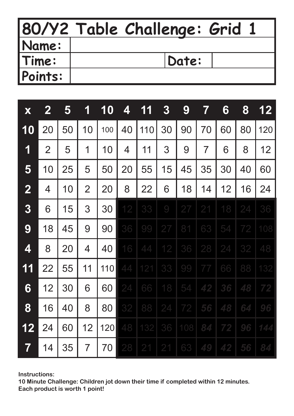|         | 80/Y2 Table Challenge: Grid 1 |
|---------|-------------------------------|
| Name:   |                               |
| Time:   | Date:                         |
| Points: |                               |

| X              | $\mathbf{2}$   | 5  | 1              | 10  | 4  | 11  | $\boldsymbol{3}$ | 9   | 7              | 6  | 8  | 12  |
|----------------|----------------|----|----------------|-----|----|-----|------------------|-----|----------------|----|----|-----|
| 10             | 20             | 50 | 10             | 100 | 40 | 110 | 30               | 90  | 70             | 60 | 80 | 120 |
| 1              | $\overline{2}$ | 5  | 1              | 10  | 4  | 11  | 3                | 9   | $\overline{7}$ | 6  | 8  | 12  |
| 5              | 10             | 25 | 5              | 50  | 20 | 55  | 15               | 45  | 35             | 30 | 40 | 60  |
| $\overline{2}$ | 4              | 10 | $\overline{2}$ | 20  | 8  | 22  | 6                | 18  | 14             | 12 | 16 | 24  |
| 3              | 6              | 15 | 3              | 30  | 12 | 33  | $\Theta$         | 27  | 21             | 18 | 24 | 36  |
| 9              | 18             | 45 | 9              | 90  | 36 | 99  | 27               | 81  | 63             | 54 | 72 | 108 |
| 4              | 8              | 20 | 4              | 40  | 16 | 44  | 12               | 36  | 28             | 24 | 32 | 48  |
| 11             | 22             | 55 | 11             | 110 | 44 | 121 | 33               | 99  | 77             | 66 | 88 | 132 |
| 6              | 12             | 30 | 6              | 60  | 24 | 66  | 18               | 54  | 42             | 36 | 48 | 72  |
| 8              | 16             | 40 | 8              | 80  | 32 | 88  | 24               | 72  | 56             | 48 | 64 | 96  |
| 12             | 24             | 60 | 12             | 120 | 48 | 132 | 36               | 108 | 84             | 72 | 96 | 144 |
| 7              | 14             | 35 | $\overline{7}$ | 70  | 28 | 21  | 21               | 63  | 49             | 42 | 56 | 84  |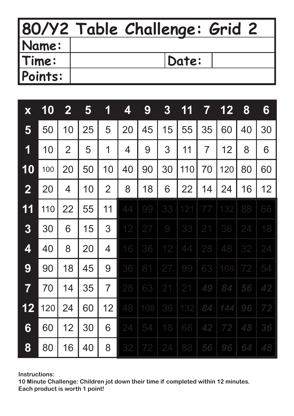|         | 80/Y2 Table Challenge: Grid 2 |
|---------|-------------------------------|
| Name:   |                               |
| Time:   | Date:                         |
| Points: |                               |

| X                       | 10  | $\mathbf{2}$   | 5  | 1              | 4  | 9   | 3        | 1<br>1 | 7              | 12  | 8  | 6  |
|-------------------------|-----|----------------|----|----------------|----|-----|----------|--------|----------------|-----|----|----|
| 5                       | 50  | 10             | 25 | 5              | 20 | 45  | 15       | 55     | 35             | 60  | 40 | 30 |
| 1                       | 10  | $\overline{2}$ | 5  | 1              | 4  | 9   | 3        | 11     | $\overline{7}$ | 12  | 8  | 6  |
| 10                      | 100 | 20             | 50 | 10             | 40 | 90  | 30       | 110    | 70             | 120 | 80 | 60 |
| $\boldsymbol{2}$        | 20  | 4              | 10 | $\overline{2}$ | 8  | 18  | 6        | 22     | 14             | 24  | 16 | 12 |
| 11                      | 110 | 22             | 55 | 11             | 44 | 99  | 33       | 121    | 77             | 132 | 88 | 66 |
| 3                       | 30  | 6              | 15 | 3              | 12 | 27  | $\Theta$ | 33     | 21             | 36  | 24 | 18 |
| 4                       | 40  | 8              | 20 | 4              | 16 | 36  | 12       | 44     | 28             | 48  | 32 | 24 |
| 9                       | 90  | 18             | 45 | 9              | 36 | 81  | 27       | 99     | 63             | 108 | 72 | 54 |
| $\overline{\mathbf{7}}$ | 70  | 14             | 35 | $\overline{7}$ | 28 | 63  | 21       | 21     | 49             | 84  | 56 | 42 |
| 12                      | 120 | 24             | 60 | 12             | 48 | 108 | 36       | 132    | 84             | 144 | 96 | 72 |
| 6                       | 60  | 12             | 30 | 6              | 24 | 54  | 18       | 66     | 42             | 72  | 48 | 36 |
| 8                       | 80  | 16             | 40 | 8              | 32 | 72  | 24       | 88     | 56             | 96  | 64 | 48 |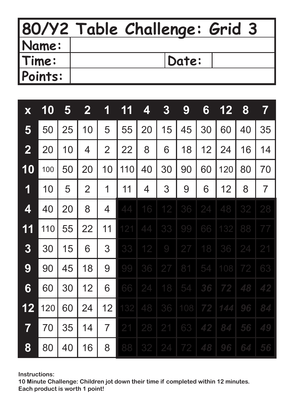|                | 80/Y2 Table Challenge: Grid 3 |
|----------------|-------------------------------|
| Name:          |                               |
| Time:          | Date:                         |
| <b>Points:</b> |                               |

| X                       | <b>10</b> | 5  | $\mathbf{2}$   | 1              | 11  | 4  | $\boldsymbol{3}$ | 9   | 6  | 12  | 8  | $\overline{\mathbf{7}}$ |
|-------------------------|-----------|----|----------------|----------------|-----|----|------------------|-----|----|-----|----|-------------------------|
| 5                       | 50        | 25 | 10             | 5              | 55  | 20 | 15               | 45  | 30 | 60  | 40 | 35                      |
| $\overline{\mathbf{2}}$ | 20        | 10 | 4              | $\overline{2}$ | 22  | 8  | 6                | 18  | 12 | 24  | 16 | 14                      |
| 10                      | 100       | 50 | 20             | 10             | 110 | 40 | 30               | 90  | 60 | 120 | 80 | 70                      |
| 1                       | 10        | 5  | $\overline{2}$ | 1              | 11  | 4  | 3                | 9   | 6  | 12  | 8  | $\overline{7}$          |
| 4                       | 40        | 20 | 8              | 4              | 44  | 16 | 12               | 36  | 24 | 48  | 32 | 28                      |
| 11                      | 110       | 55 | 22             | 11             | 121 | 44 | 33               | 99  | 66 | 132 | 88 | 77                      |
| 3                       | 30        | 15 | 6              | 3              | 33  | 12 | $\bigcirc$       | 27  | 18 | 36  | 24 | 21                      |
| 9                       | 90        | 45 | 18             | 9              | 99  | 36 | 27               | 81  | 54 | 108 | 72 | 63                      |
| 6                       | 60        | 30 | 12             | 6              | 66  | 24 | 18               | 54  | 36 | 72  | 48 | 42                      |
| 12                      | 120       | 60 | 24             | 12             | 132 | 48 | 36               | 108 | 72 | 144 | 96 | 84                      |
| $\overline{\mathbf{7}}$ | 70        | 35 | 14             | $\overline{7}$ | 21  | 28 | 21               | 63  | 42 | 84  | 56 | 49                      |
| 8                       | 80        | 40 | 16             | 8              | 88  | 32 | 24               | 72  | 48 | 96  | 64 | 56                      |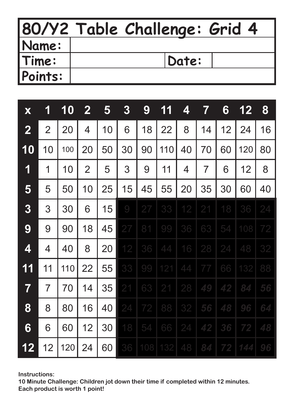|              | 80/Y2 Table Challenge: Grid 4 |
|--------------|-------------------------------|
| <b>Name:</b> |                               |
| Time:        | Date:                         |
| Points:      |                               |

| X                       | 1              | 10  | $\mathbf{2}$   | 5  | 3          | 9   | 11  | 4  | 7              | 6  | 12  | 8  |
|-------------------------|----------------|-----|----------------|----|------------|-----|-----|----|----------------|----|-----|----|
| $\overline{\mathbf{2}}$ | $\overline{2}$ | 20  | 4              | 10 | 6          | 18  | 22  | 8  | 14             | 12 | 24  | 16 |
| 10                      | 10             | 100 | 20             | 50 | 30         | 90  | 110 | 40 | 70             | 60 | 120 | 80 |
| 1                       | 1              | 10  | $\overline{2}$ | 5  | 3          | 9   | 11  | 4  | $\overline{7}$ | 6  | 12  | 8  |
| 5                       | 5              | 50  | 10             | 25 | 15         | 45  | 55  | 20 | 35             | 30 | 60  | 40 |
| 3                       | 3              | 30  | 6              | 15 | $\bigcirc$ | 27  | 33  | 12 | 21             | 18 | 36  | 24 |
| 9                       | 9              | 90  | 18             | 45 | 27         | 81  | 99  | 36 | 63             | 54 | 108 | 72 |
| 4                       | 4              | 40  | 8              | 20 | 12         | 36  | 44  | 16 | 28             | 24 | 48  | 32 |
| 11                      | 11             | 110 | 22             | 55 | 33         | 99  | 121 | 44 | 77             | 66 | 132 | 88 |
| $\overline{\mathbf{7}}$ | $\overline{7}$ | 70  | 14             | 35 | 21         | 63  | 21  | 28 | 49             | 42 | 84  | 56 |
| 8                       | 8              | 80  | 16             | 40 | 24         | 72  | 88  | 32 | 56             | 48 | 96  | 64 |
| 6                       | 6              | 60  | 12             | 30 | 18         | 54  | 66  | 24 | 42             | 36 | 72  | 48 |
| 12                      | 12             | 120 | 24             | 60 | 36         | 108 | 132 | 48 | 84             | 72 | 144 | 96 |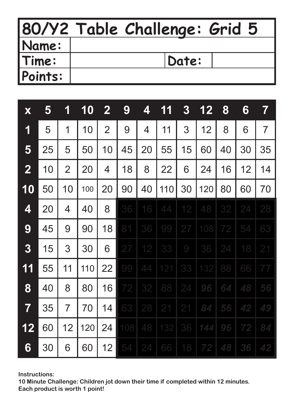|         | 80/Y2 Table Challenge: Grid 5 |
|---------|-------------------------------|
| Name:   |                               |
| Time:   | Date:                         |
| Points: |                               |

| X                       | 5  | 1              | 10  | $\mathbf{2}$   | 9   | 4               | 11  | $\boldsymbol{3}$ | 12  | 8  | 6  | $\overline{\mathbf{7}}$ |
|-------------------------|----|----------------|-----|----------------|-----|-----------------|-----|------------------|-----|----|----|-------------------------|
| 1                       | 5  | 1              | 10  | $\overline{2}$ | 9   | 4               | 11  | 3                | 12  | 8  | 6  | $\overline{7}$          |
| 5                       | 25 | 5              | 50  | 10             | 45  | 20              | 55  | 15               | 60  | 40 | 30 | 35                      |
| $\mathbf{2}$            | 10 | $\overline{2}$ | 20  | 4              | 18  | 8               | 22  | 6                | 24  | 16 | 12 | 14                      |
| 10                      | 50 | 10             | 100 | 20             | 90  | 40              | 110 | 30               | 120 | 80 | 60 | 70                      |
| 4                       | 20 | 4              | 40  | 8              | 36  | 16              | 44  | 12               | 48  | 32 | 24 | 28                      |
| 9                       | 45 | 9              | 90  | 18             | 81  | 36              | 99  | 27               | 108 | 72 | 54 | 63                      |
| 3                       | 15 | 3              | 30  | 6              | 27  | 12              | 33  | $\bigcirc$       | 36  | 24 | 18 | 21                      |
| 11                      | 55 | 11             | 110 | 22             | 99  | 44              | 121 | 33               | 132 | 88 | 66 | 77                      |
| 8                       | 40 | 8              | 80  | 16             | 72  | 32              | 88  | 24               | 96  | 64 | 48 | 56                      |
| $\overline{\mathbf{7}}$ | 35 | $\overline{7}$ | 70  | 14             | 63  | 28              | 21  | 21               | 84  | 56 | 42 | 49                      |
| 12                      | 60 | 12             | 120 | 24             | 108 | 48              | 132 | 36               | 144 | 96 | 72 | 84                      |
| 6                       | 30 | 6              | 60  | 12             | 54  | $\overline{24}$ | 66  | 18               | 72  | 48 | 36 | 42                      |